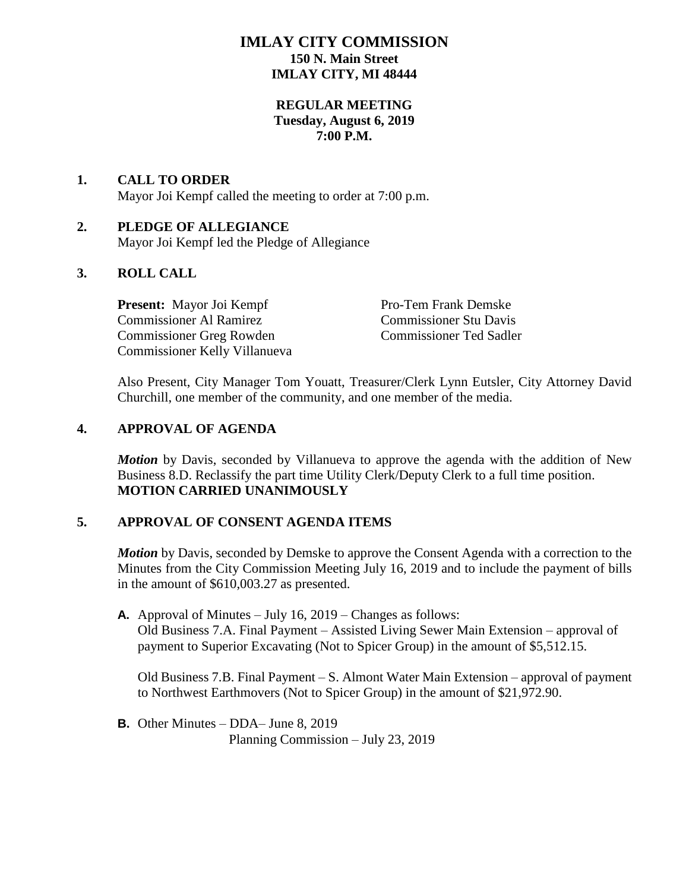## **IMLAY CITY COMMISSION 150 N. Main Street IMLAY CITY, MI 48444**

## **REGULAR MEETING Tuesday, August 6, 2019 7:00 P.M.**

## **1. CALL TO ORDER** Mayor Joi Kempf called the meeting to order at 7:00 p.m.

# **2. PLEDGE OF ALLEGIANCE**

Mayor Joi Kempf led the Pledge of Allegiance

## **3. ROLL CALL**

**Present:** Mayor Joi Kempf Pro-Tem Frank Demske Commissioner Al Ramirez Commissioner Stu Davis Commissioner Greg Rowden Commissioner Ted Sadler Commissioner Kelly Villanueva

Also Present, City Manager Tom Youatt, Treasurer/Clerk Lynn Eutsler, City Attorney David Churchill, one member of the community, and one member of the media.

## **4. APPROVAL OF AGENDA**

*Motion* by Davis, seconded by Villanueva to approve the agenda with the addition of New Business 8.D. Reclassify the part time Utility Clerk/Deputy Clerk to a full time position. **MOTION CARRIED UNANIMOUSLY**

## **5. APPROVAL OF CONSENT AGENDA ITEMS**

*Motion* by Davis, seconded by Demske to approve the Consent Agenda with a correction to the Minutes from the City Commission Meeting July 16, 2019 and to include the payment of bills in the amount of \$610,003.27 as presented.

**A.** Approval of Minutes – July 16, 2019 – Changes as follows: Old Business 7.A. Final Payment – Assisted Living Sewer Main Extension – approval of payment to Superior Excavating (Not to Spicer Group) in the amount of \$5,512.15.

Old Business 7.B. Final Payment – S. Almont Water Main Extension – approval of payment to Northwest Earthmovers (Not to Spicer Group) in the amount of \$21,972.90.

**B.** Other Minutes – DDA– June 8, 2019 Planning Commission – July 23, 2019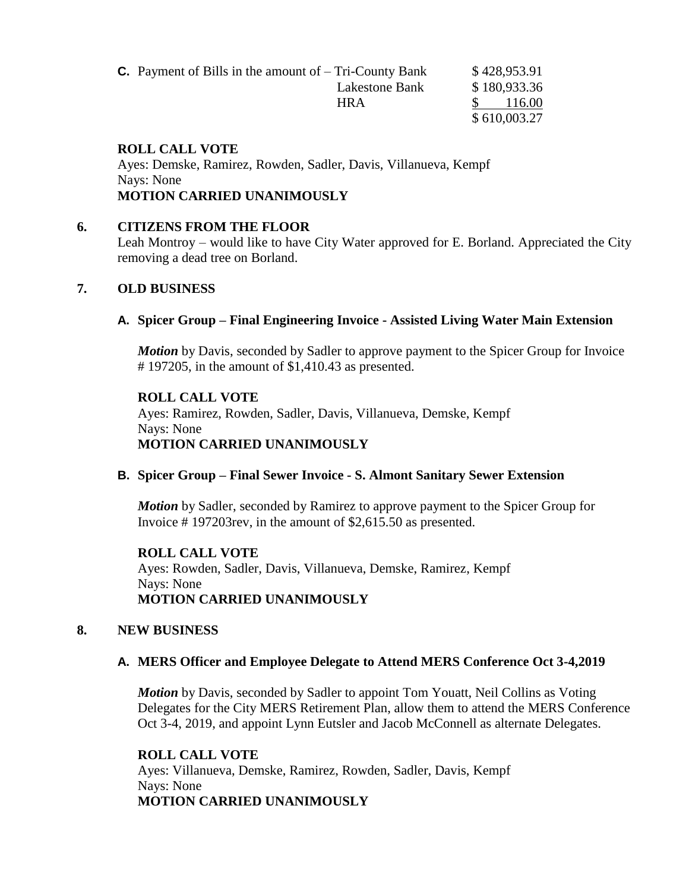| <b>C.</b> Payment of Bills in the amount of $-$ Tri-County Bank |                |  | \$428,953.91 |  |
|-----------------------------------------------------------------|----------------|--|--------------|--|
|                                                                 | Lakestone Bank |  | \$180,933.36 |  |
|                                                                 | <b>HRA</b>     |  | 116.00       |  |
|                                                                 |                |  | \$610,003.27 |  |

### **ROLL CALL VOTE**

Ayes: Demske, Ramirez, Rowden, Sadler, Davis, Villanueva, Kempf Nays: None **MOTION CARRIED UNANIMOUSLY**

#### **6. CITIZENS FROM THE FLOOR**

Leah Montroy – would like to have City Water approved for E. Borland. Appreciated the City removing a dead tree on Borland.

#### **7. OLD BUSINESS**

#### **A. Spicer Group – Final Engineering Invoice - Assisted Living Water Main Extension**

*Motion* by Davis, seconded by Sadler to approve payment to the Spicer Group for Invoice # 197205, in the amount of \$1,410.43 as presented.

#### **ROLL CALL VOTE**

Ayes: Ramirez, Rowden, Sadler, Davis, Villanueva, Demske, Kempf Nays: None

**MOTION CARRIED UNANIMOUSLY**

### **B. Spicer Group – Final Sewer Invoice - S. Almont Sanitary Sewer Extension**

*Motion* by Sadler, seconded by Ramirez to approve payment to the Spicer Group for Invoice # 197203rev, in the amount of \$2,615.50 as presented.

**ROLL CALL VOTE** Ayes: Rowden, Sadler, Davis, Villanueva, Demske, Ramirez, Kempf Nays: None **MOTION CARRIED UNANIMOUSLY**

#### **8. NEW BUSINESS**

### **A. MERS Officer and Employee Delegate to Attend MERS Conference Oct 3-4,2019**

*Motion* by Davis, seconded by Sadler to appoint Tom Youatt, Neil Collins as Voting Delegates for the City MERS Retirement Plan, allow them to attend the MERS Conference Oct 3-4, 2019, and appoint Lynn Eutsler and Jacob McConnell as alternate Delegates.

**ROLL CALL VOTE** Ayes: Villanueva, Demske, Ramirez, Rowden, Sadler, Davis, Kempf Nays: None **MOTION CARRIED UNANIMOUSLY**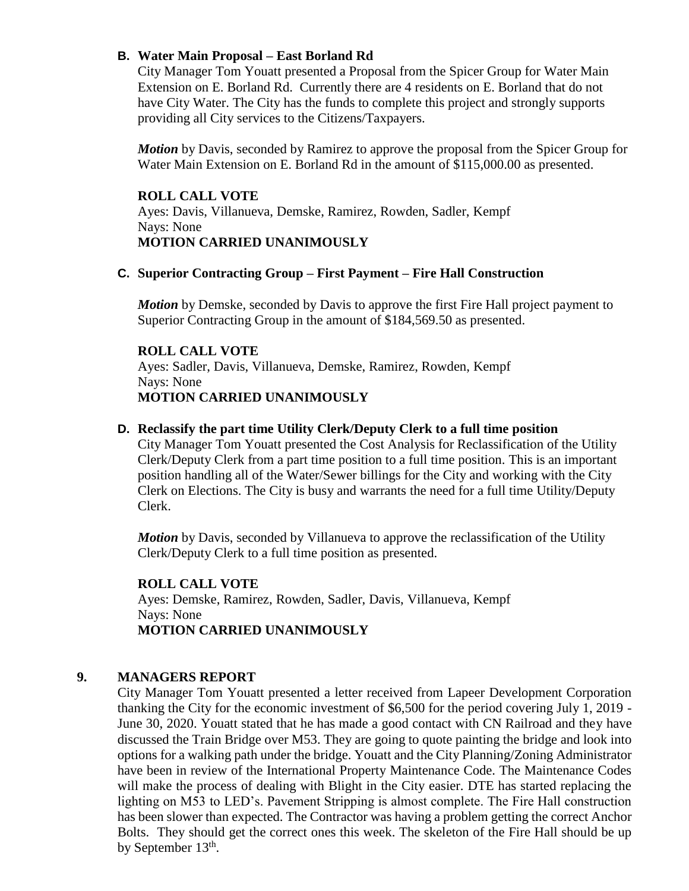## **B. Water Main Proposal – East Borland Rd**

City Manager Tom Youatt presented a Proposal from the Spicer Group for Water Main Extension on E. Borland Rd. Currently there are 4 residents on E. Borland that do not have City Water. The City has the funds to complete this project and strongly supports providing all City services to the Citizens/Taxpayers.

*Motion* by Davis, seconded by Ramirez to approve the proposal from the Spicer Group for Water Main Extension on E. Borland Rd in the amount of \$115,000.00 as presented.

### **ROLL CALL VOTE**

Ayes: Davis, Villanueva, Demske, Ramirez, Rowden, Sadler, Kempf Nays: None **MOTION CARRIED UNANIMOUSLY**

### **C. Superior Contracting Group – First Payment – Fire Hall Construction**

*Motion* by Demske, seconded by Davis to approve the first Fire Hall project payment to Superior Contracting Group in the amount of \$184,569.50 as presented.

### **ROLL CALL VOTE**

Ayes: Sadler, Davis, Villanueva, Demske, Ramirez, Rowden, Kempf Nays: None **MOTION CARRIED UNANIMOUSLY**

#### **D. Reclassify the part time Utility Clerk/Deputy Clerk to a full time position**

City Manager Tom Youatt presented the Cost Analysis for Reclassification of the Utility Clerk/Deputy Clerk from a part time position to a full time position. This is an important position handling all of the Water/Sewer billings for the City and working with the City Clerk on Elections. The City is busy and warrants the need for a full time Utility/Deputy Clerk.

*Motion* by Davis, seconded by Villanueva to approve the reclassification of the Utility Clerk/Deputy Clerk to a full time position as presented.

### **ROLL CALL VOTE**

Ayes: Demske, Ramirez, Rowden, Sadler, Davis, Villanueva, Kempf Nays: None **MOTION CARRIED UNANIMOUSLY**

### **9. MANAGERS REPORT**

City Manager Tom Youatt presented a letter received from Lapeer Development Corporation thanking the City for the economic investment of \$6,500 for the period covering July 1, 2019 - June 30, 2020. Youatt stated that he has made a good contact with CN Railroad and they have discussed the Train Bridge over M53. They are going to quote painting the bridge and look into options for a walking path under the bridge. Youatt and the City Planning/Zoning Administrator have been in review of the International Property Maintenance Code. The Maintenance Codes will make the process of dealing with Blight in the City easier. DTE has started replacing the lighting on M53 to LED's. Pavement Stripping is almost complete. The Fire Hall construction has been slower than expected. The Contractor was having a problem getting the correct Anchor Bolts. They should get the correct ones this week. The skeleton of the Fire Hall should be up by September 13<sup>th</sup>.